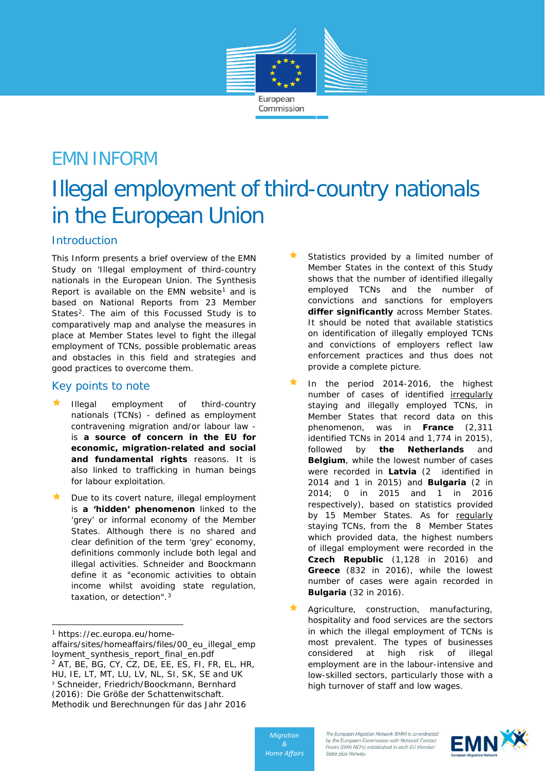

# EMN INFORM

# Illegal employment of third-country nationals in the European Union

## **Introduction**

This Inform presents a brief overview of the EMN Study on 'Illegal employment of third-country nationals in the European Union. The Synthesis Report is available on the EMN website<sup>[1](#page-0-0)</sup> and is based on National Reports from 23 Member States<sup>2</sup>. The aim of this Focussed Study is to comparatively map and analyse the measures in place at Member States level to fight the illegal employment of TCNs, possible problematic areas and obstacles in this field and strategies and good practices to overcome them.

### Key points to note

- Illegal employment of third-country nationals (TCNs) - defined as employment contravening migration and/or labour law is **a source of concern in the EU for economic, migration-related and social and fundamental rights** reasons. It is also linked to trafficking in human beings for labour exploitation.
- Due to its covert nature, illegal employment is **a 'hidden' phenomenon** linked to the 'grey' or informal economy of the Member States. Although there is no shared and clear definition of the term 'grey' economy, definitions commonly include both legal and illegal activities. Schneider and Boockmann define it as "economic activities to obtain income whilst avoiding state regulation, taxation, or detection".<sup>[3](#page-0-2)</sup>

i,

- Statistics provided by a limited number of Member States in the context of this Study shows that the number of identified illegally employed TCNs and the number of convictions and sanctions for employers **differ significantly** across Member States. It should be noted that available statistics on identification of illegally employed TCNs and convictions of employers reflect law enforcement practices and thus does not provide a complete picture.
- In the period 2014-2016, the highest number of cases of identified irregularly staying and illegally employed TCNs, in Member States that record data on this phenomenon, was in **France** (2,311 identified TCNs in 2014 and 1,774 in 2015), followed by **the Netherlands** and **Belgium**, while the lowest number of cases were recorded in **Latvia** (2 identified in 2014 and 1 in 2015) and **Bulgaria** (2 in 2014; 0 in 2015 and 1 in 2016 respectively), based on statistics provided by 15 Member States. As for regularly staying TCNs, from the 8 Member States which provided data, the highest numbers of illegal employment were recorded in the **Czech Republic** (1,128 in 2016) and **Greece** (832 in 2016), while the lowest number of cases were again recorded in **Bulgaria** (32 in 2016).
- Agriculture, construction, manufacturing, hospitality and food services are the sectors in which the illegal employment of TCNs is most prevalent. The types of businesses considered at high risk of illegal employment are in the labour-intensive and low-skilled sectors, particularly those with a high turnover of staff and low wages.



<span id="page-0-0"></span><sup>1</sup> https://ec.europa.eu/home-

<span id="page-0-2"></span><span id="page-0-1"></span>affairs/sites/homeaffairs/files/00\_eu\_illegal\_emp loyment\_synthesis\_report\_final\_en.pdf <sup>2</sup> AT, BE, BG, CY, CZ, DE, EE, ES, FI, FR, EL, HR, HU, IE, LT, MT, LU, LV, NL, SI, SK, SE and UK <sup>3</sup> Schneider, Friedrich/Boockmann, Bernhard (2016): Die Größe der Schattenwitschaft. Methodik und Berechnungen für das Jahr 2016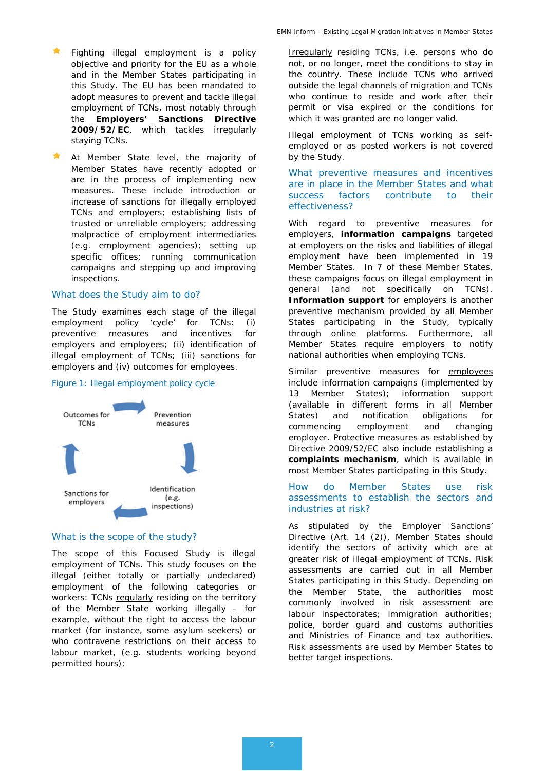- Fighting illegal employment is a policy objective and priority for the EU as a whole and in the Member States participating in this Study. The EU has been mandated to adopt measures to prevent and tackle illegal employment of TCNs, most notably through the **Employers' Sanctions Directive 2009/52/EC**, which tackles irregularly staying TCNs.
- At Member State level, the majority of Member States have recently adopted or are in the process of implementing new measures. These include introduction or increase of sanctions for illegally employed TCNs and employers; establishing lists of trusted or unreliable employers; addressing malpractice of employment intermediaries (e.g. employment agencies); setting up specific offices; running communication campaigns and stepping up and improving inspections.

#### *What does the Study aim to do?*

The Study examines each stage of the illegal employment policy 'cycle' for TCNs: (i) preventive measures and incentives for employers and employees; (ii) identification of illegal employment of TCNs; (iii) sanctions for employers and (iv) outcomes for employees.

#### Figure 1: Illegal employment policy cycle



#### *What is the scope of the study?*

The scope of this Focused Study is illegal employment of TCNs. This study focuses on the illegal (either totally or partially undeclared) employment of the following categories or workers: TCNs regularly residing on the territory of the Member State working illegally – for example, without the right to access the labour market (for instance, some asylum seekers) or who contravene restrictions on their access to labour market, (e.g. students working beyond permitted hours);

Irregularly residing TCNs, i.e. persons who do not, or no longer, meet the conditions to stay in the country. These include TCNs who arrived outside the legal channels of migration and TCNs who continue to reside and work after their permit or visa expired or the conditions for which it was granted are no longer valid.

Illegal employment of TCNs working as selfemployed or as posted workers is not covered by the Study.

*What preventive measures and incentives are in place in the Member States and what success factors contribute to their effectiveness?*

With regard to preventive measures for employers, **information campaigns** targeted at employers on the risks and liabilities of illegal employment have been implemented in 19 Member States. In 7 of these Member States, these campaigns focus on illegal employment in general (and not specifically on TCNs). **Information support** for employers is another preventive mechanism provided by all Member States participating in the Study, typically through online platforms. Furthermore, all Member States require employers to notify national authorities when employing TCNs.

Similar preventive measures for employees include information campaigns (implemented by 13 Member States); information support (available in different forms in all Member States) and notification obligations for commencing employment and changing employer. Protective measures as established by Directive 2009/52/EC also include establishing a **complaints mechanism**, which is available in most Member States participating in this Study.

#### *How do Member States use risk assessments to establish the sectors and industries at risk?*

As stipulated by the Employer Sanctions' Directive (Art. 14 (2)), Member States should identify the sectors of activity which are at greater risk of illegal employment of TCNs. Risk assessments are carried out in all Member States participating in this Study. Depending on the Member State, the authorities most commonly involved in risk assessment are labour inspectorates; immigration authorities; police, border guard and customs authorities and Ministries of Finance and tax authorities. Risk assessments are used by Member States to better target inspections.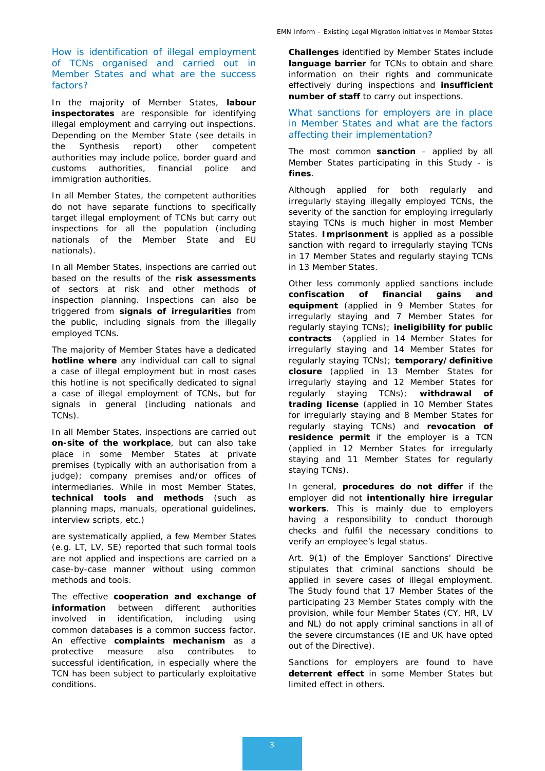#### *How is identification of illegal employment of TCNs organised and carried out in Member States and what are the success factors?*

In the majority of Member States, **labour inspectorates** are responsible for identifying illegal employment and carrying out inspections. Depending on the Member State (see details in the Synthesis report) other competent authorities may include police, border guard and customs authorities, financial police and immigration authorities.

In all Member States, the competent authorities do not have separate functions to specifically target illegal employment of TCNs but carry out inspections for all the population (including nationals of the Member State and EU nationals).

In all Member States, inspections are carried out based on the results of the **risk assessments** of sectors at risk and other methods of inspection planning. Inspections can also be triggered from **signals of irregularities** from the public, including signals from the illegally employed TCNs.

The majority of Member States have a dedicated **hotline where** any individual can call to signal a case of illegal employment but in most cases this hotline is not specifically dedicated to signal a case of illegal employment of TCNs, but for signals in general (including nationals and TCNs).

In all Member States, inspections are carried out **on-site of the workplace**, but can also take place in some Member States at private premises (typically with an authorisation from a judge); company premises and/or offices of intermediaries. While in most Member States, **technical tools and methods** (such as planning maps, manuals, operational guidelines, interview scripts, etc.)

are systematically applied, a few Member States (e.g. LT, LV, SE) reported that such formal tools are not applied and inspections are carried on a case-by-case manner without using common methods and tools.

The effective **cooperation and exchange of information** between different authorities involved in identification, including using common databases is a common success factor. An effective **complaints mechanism** as a protective measure also contributes to successful identification, in especially where the TCN has been subject to particularly exploitative conditions.

**Challenges** identified by Member States include **language barrier** for TCNs to obtain and share information on their rights and communicate effectively during inspections and **insufficient number of staff** to carry out inspections.

#### *What sanctions for employers are in place in Member States and what are the factors affecting their implementation?*

The most common **sanction** – applied by all Member States participating in this Study - is **fines**.

Although applied for both regularly and irregularly staying illegally employed TCNs, the severity of the sanction for employing irregularly staying TCNs is much higher in most Member States. **Imprisonment** is applied as a possible sanction with regard to irregularly staying TCNs in 17 Member States and regularly staying TCNs in 13 Member States.

Other less commonly applied sanctions include **confiscation of financial gains and equipment** (applied in 9 Member States for irregularly staying and 7 Member States for regularly staying TCNs); **ineligibility for public contracts** (applied in 14 Member States for irregularly staying and 14 Member States for regularly staying TCNs); **temporary/definitive closure** (applied in 13 Member States for irregularly staying and 12 Member States for regularly staying TCNs); **withdrawal of trading license** (applied in 10 Member States for irregularly staying and 8 Member States for regularly staying TCNs) and **revocation of residence permit** if the employer is a TCN (applied in 12 Member States for irregularly staying and 11 Member States for regularly staying TCNs).

In general, **procedures do not differ** if the employer did not **intentionally hire irregular workers**. This is mainly due to employers having a responsibility to conduct thorough checks and fulfil the necessary conditions to verify an employee's legal status.

Art. 9(1) of the Employer Sanctions' Directive stipulates that criminal sanctions should be applied in severe cases of illegal employment. The Study found that 17 Member States of the participating 23 Member States comply with the provision, while four Member States (CY, HR, LV and NL) do not apply criminal sanctions in all of the severe circumstances (*IE and UK have opted out of the Directive).*

Sanctions for employers are found to have **deterrent effect** in some Member States but limited effect in others.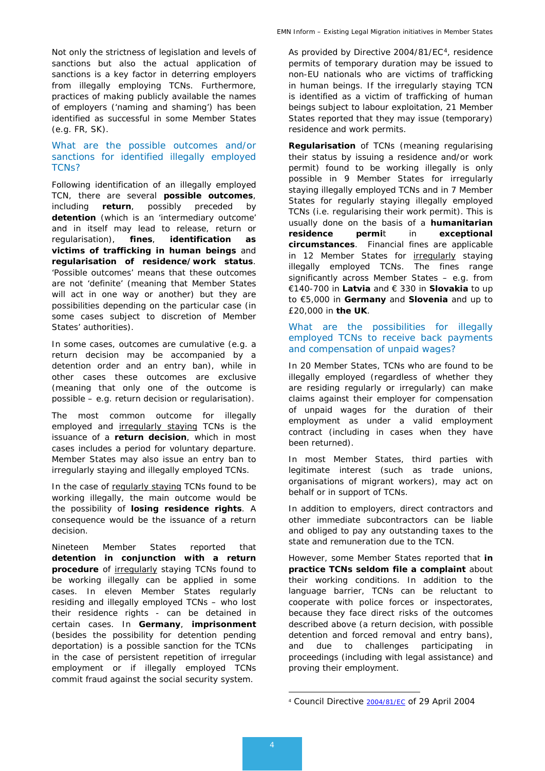Not only the strictness of legislation and levels of sanctions but also the actual application of sanctions is a key factor in deterring employers from illegally employing TCNs. Furthermore, practices of making publicly available the names of employers ('naming and shaming') has been identified as successful in some Member States (e.g. FR, SK).

#### *What are the possible outcomes and/or sanctions for identified illegally employed TCNs?*

Following identification of an illegally employed TCN, there are several **possible outcomes**, including **return**, possibly preceded by **detention** (which is an 'intermediary outcome' and in itself may lead to release, return or regularisation), **fines**, **identification as victims of trafficking in human beings** and **regularisation of residence/work status**. 'Possible outcomes' means that these outcomes are not 'definite' (meaning that Member States will act in one way or another) but they are possibilities depending on the particular case (in some cases subject to discretion of Member States' authorities).

In some cases, outcomes are cumulative (e.g. a return decision may be accompanied by a detention order and an entry ban), while in other cases these outcomes are exclusive (meaning that only one of the outcome is possible – e.g. return decision or regularisation).

The most common outcome for illegally employed and irregularly staying TCNs is the issuance of a **return decision**, which in most cases includes a period for voluntary departure. Member States may also issue an entry ban to irregularly staying and illegally employed TCNs.

In the case of regularly staying TCNs found to be working illegally, the main outcome would be the possibility of **losing residence rights**. A consequence would be the issuance of a return decision.

<span id="page-3-0"></span>Nineteen Member States reported that **detention in conjunction with a return procedure** of **irregularly** staying TCNs found to be working illegally can be applied in some cases. In eleven Member States regularly residing and illegally employed TCNs – who lost their residence rights - can be detained in certain cases. In **Germany**, **imprisonment**  (besides the possibility for detention pending deportation) is a possible sanction for the TCNs in the case of persistent repetition of irregular employment or if illegally employed TCNs commit fraud against the social security system.

As provided by Directive 2004/81/EC<sup>4</sup>, residence permits of temporary duration may be issued to non-EU nationals who are victims of trafficking in human beings. If the irregularly staying TCN is identified as a victim of trafficking of human beings subject to labour exploitation, 21 Member States reported that they may issue (temporary) residence and work permits.

**Regularisation** of TCNs (meaning regularising their status by issuing a residence and/or work permit) found to be working illegally is only possible in 9 Member States for irregularly staying illegally employed TCNs and in 7 Member States for regularly staying illegally employed TCNs (i.e. regularising their work permit). This is usually done on the basis of a **humanitarian residence permi**t in **exceptional circumstances**. Financial fines are applicable in 12 Member States for **irregularly** staying illegally employed TCNs. The fines range significantly across Member States – e.g. from €140-700 in **Latvia** and € 330 in **Slovakia** to up to €5,000 in **Germany** and **Slovenia** and up to £20,000 in **the UK**.

#### *What are the possibilities for illegally employed TCNs to receive back payments and compensation of unpaid wages?*

In 20 Member States, TCNs who are found to be illegally employed (regardless of whether they are residing regularly or irregularly) can make claims against their employer for compensation of unpaid wages for the duration of their employment as under a valid employment contract (including in cases when they have been returned).

In most Member States, third parties with legitimate interest (such as trade unions, organisations of migrant workers), may act on behalf or in support of TCNs.

In addition to employers, direct contractors and other immediate subcontractors can be liable and obliged to pay any outstanding taxes to the state and remuneration due to the TCN.

However, some Member States reported that **in practice TCNs seldom file a complaint** about their working conditions. In addition to the language barrier, TCNs can be reluctant to cooperate with police forces or inspectorates, because they face direct risks of the outcomes described above (a return decision, with possible detention and forced removal and entry bans), and due to challenges participating in proceedings (including with legal assistance) and proving their employment.

-

<sup>4</sup> Council Directive [2004/81/EC](http://eur-lex.europa.eu/legal-content/EN/AUTO/?uri=celex:32004L0081) of 29 April 2004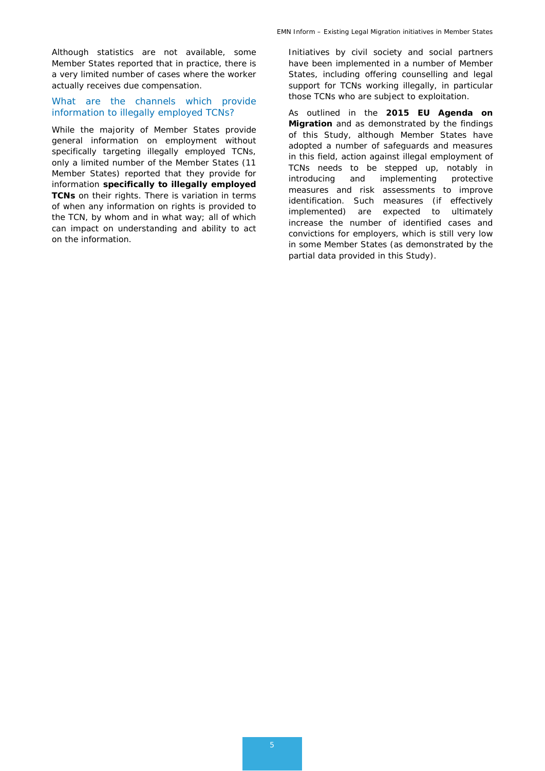Although statistics are not available, some Member States reported that in practice, there is a very limited number of cases where the worker actually receives due compensation.

#### *What are the channels which provide information to illegally employed TCNs?*

While the majority of Member States provide general information on employment without specifically targeting illegally employed TCNs, only a limited number of the Member States (11 Member States) reported that they provide for information **specifically to illegally employed TCNs** on their rights. There is variation in terms of when any information on rights is provided to the TCN, by whom and in what way; all of which can impact on understanding and ability to act on the information.

Initiatives by civil society and social partners have been implemented in a number of Member States, including offering counselling and legal support for TCNs working illegally, in particular those TCNs who are subject to exploitation.

As outlined in the **2015 EU Agenda on Migration** and as demonstrated by the findings of this Study, although Member States have adopted a number of safeguards and measures in this field, action against illegal employment of TCNs needs to be stepped up, notably in introducing and implementing protective measures and risk assessments to improve identification. Such measures (if effectively implemented) are expected to ultimately increase the number of identified cases and convictions for employers, which is still very low in some Member States (as demonstrated by the partial data provided in this Study).